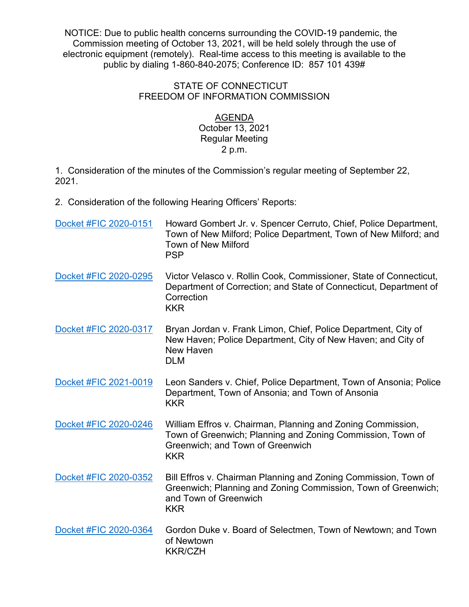NOTICE: Due to public health concerns surrounding the COVID-19 pandemic, the Commission meeting of October 13, 2021, will be held solely through the use of electronic equipment (remotely). Real-time access to this meeting is available to the public by dialing 1-860-840-2075; Conference ID: 857 101 439#

## STATE OF CONNECTICUT FREEDOM OF INFORMATION COMMISSION

## AGENDA

## October 13, 2021 Regular Meeting 2 p.m.

1. Consideration of the minutes of the Commission's regular meeting of September 22, 2021.

2. Consideration of the following Hearing Officers' Reports:

| Docket #FIC 2020-0151 | Howard Gombert Jr. v. Spencer Cerruto, Chief, Police Department,<br>Town of New Milford; Police Department, Town of New Milford; and<br><b>Town of New Milford</b><br><b>PSP</b> |
|-----------------------|----------------------------------------------------------------------------------------------------------------------------------------------------------------------------------|
| Docket #FIC 2020-0295 | Victor Velasco v. Rollin Cook, Commissioner, State of Connecticut,<br>Department of Correction; and State of Connecticut, Department of<br>Correction<br><b>KKR</b>              |
| Docket #FIC 2020-0317 | Bryan Jordan v. Frank Limon, Chief, Police Department, City of<br>New Haven; Police Department, City of New Haven; and City of<br><b>New Haven</b><br><b>DLM</b>                 |
| Docket #FIC 2021-0019 | Leon Sanders v. Chief, Police Department, Town of Ansonia; Police<br>Department, Town of Ansonia; and Town of Ansonia<br><b>KKR</b>                                              |
| Docket #FIC 2020-0246 | William Effros v. Chairman, Planning and Zoning Commission,<br>Town of Greenwich; Planning and Zoning Commission, Town of<br>Greenwich; and Town of Greenwich<br><b>KKR</b>      |
| Docket #FIC 2020-0352 | Bill Effros v. Chairman Planning and Zoning Commission, Town of<br>Greenwich; Planning and Zoning Commission, Town of Greenwich;<br>and Town of Greenwich<br><b>KKR</b>          |
| Docket #FIC 2020-0364 | Gordon Duke v. Board of Selectmen, Town of Newtown; and Town<br>of Newtown<br><b>KKR/CZH</b>                                                                                     |